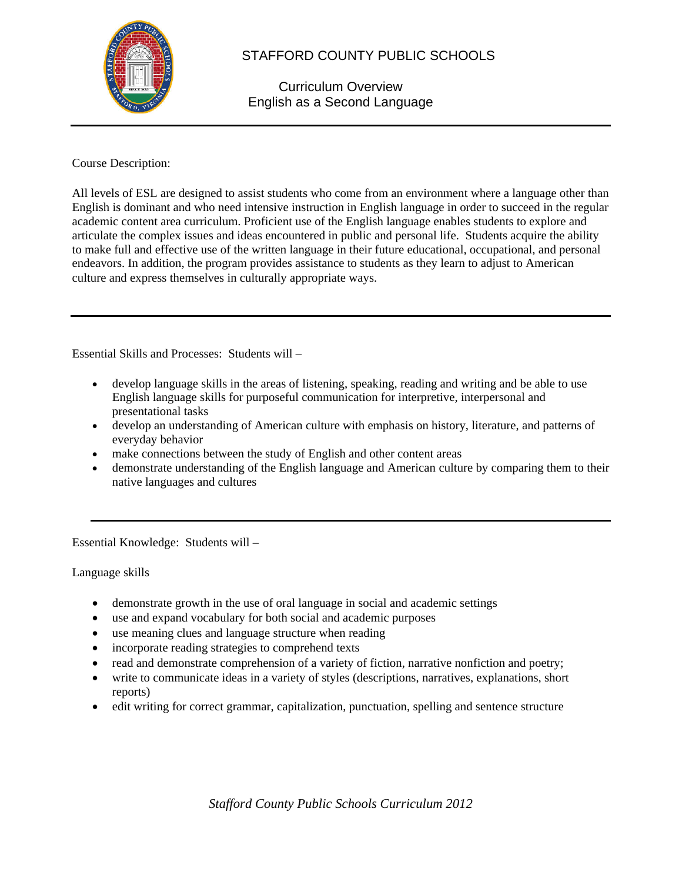

## STAFFORD COUNTY PUBLIC SCHOOLS

Curriculum Overview English as a Second Language

## Course Description:

All levels of ESL are designed to assist students who come from an environment where a language other than English is dominant and who need intensive instruction in English language in order to succeed in the regular academic content area curriculum. Proficient use of the English language enables students to explore and articulate the complex issues and ideas encountered in public and personal life. Students acquire the ability to make full and effective use of the written language in their future educational, occupational, and personal endeavors. In addition, the program provides assistance to students as they learn to adjust to American culture and express themselves in culturally appropriate ways.

Essential Skills and Processes: Students will –

- develop language skills in the areas of listening, speaking, reading and writing and be able to use English language skills for purposeful communication for interpretive, interpersonal and presentational tasks
- develop an understanding of American culture with emphasis on history, literature, and patterns of everyday behavior
- make connections between the study of English and other content areas
- demonstrate understanding of the English language and American culture by comparing them to their native languages and cultures

Essential Knowledge: Students will –

Language skills

- demonstrate growth in the use of oral language in social and academic settings
- use and expand vocabulary for both social and academic purposes
- use meaning clues and language structure when reading
- incorporate reading strategies to comprehend texts
- read and demonstrate comprehension of a variety of fiction, narrative nonfiction and poetry;
- write to communicate ideas in a variety of styles (descriptions, narratives, explanations, short reports)
- edit writing for correct grammar, capitalization, punctuation, spelling and sentence structure